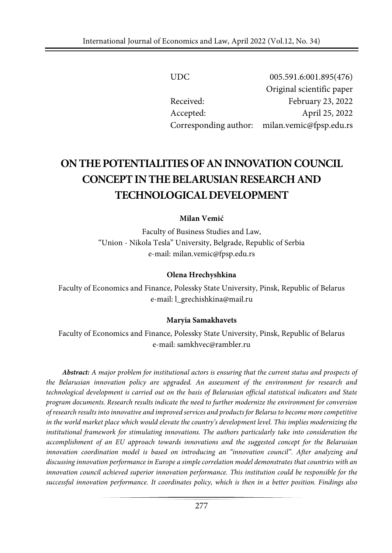| UDC.      | 005.591.6:001.895(476)                        |
|-----------|-----------------------------------------------|
|           | Original scientific paper                     |
| Received: | February 23, 2022                             |
| Accepted: | April 25, 2022                                |
|           | Corresponding author: milan.vemic@fpsp.edu.rs |

# **ONTHEPOTENTIALITIESOF ANINNOVATION COUNCIL CONCEPT IN THE BELARUSIAN RESEARCH AND TECHNOLOGICALDEVELOPMENT**

### **Milan Vemić**

Faculty of Business Studies and Law, "Union - Nikola Tesla" University, Belgrade, Republic of Serbia e-mail: milan.vemic@fpsp.edu.rs

#### **Olena Hrechyshkina**

Faculty of Economics and Finance, Polessky State University, Pinsk, Republic of Belarus e-mail: [l\\_grechishkina@mail.ru](mailto:l_grechishkina@mail.ru)

### **Maryia Samakhavets**

Faculty of Economics and Finance, Polessky State University, Pinsk, Republic of Belarus e-mail: [samkhvec@rambler.ru](mailto:samkhvec@rambler.ru)

*Abstract: A major problem for institutional actors is ensuring that the current status and prospects of the Belarusian innovation policy are upgraded. An assessment of the environment for research and technological development is carried out on the basis of Belarusian official statistical indicators and State program documents. Research results indicate the need to further modernize the environment for conversion ofresearch results into innovative and improved services and products for Belarus to become more competitive in the world market place which would elevate the country's development level. This implies modernizing the institutional framework for stimulating innovations. The authors particularly take into consideration the accomplishment of an EU approach towards innovations and the suggested concept for the Belarusian innovation coordination model is based on introducing an "innovation council". After analyzing and discussing innovation performance in Europe a simple correlation model demonstrates that countries with an innovation council achieved superior innovation performance. This institution could be responsible for the successful innovation performance. It coordinates policy, which is then in a better position. Findings also*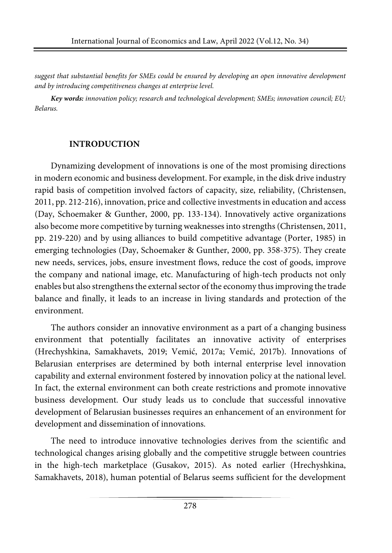*suggest that substantial benefits for SMEs could be ensured by developing an open innovative development and by introducing competitiveness changes at enterprise level.*

*Key words: innovation policy; research and technological development; SMEs; innovation council; EU; Belarus.*

## **INTRODUCTION**

Dynamizing development of innovations is one of the most promising directions in modern economic and business development. For example, in the disk drive industry rapid basis of competition involved factors of capacity, size, reliability, (Christensen, 2011, pp. 212-216), innovation, price and collective investments in education and access (Day, Schoemaker & Gunther, 2000, pp. 133-134). Innovatively active organizations also become more competitive by turning weaknesses into strengths (Christensen, 2011, pp. 219-220) and by using alliances to build competitive advantage (Porter, 1985) in emerging technologies (Day, Schoemaker & Gunther, 2000, pp. 358-375). They create new needs, services, jobs, ensure investment flows, reduce the cost of goods, improve the company and national image, etc. Manufacturing of high-tech products not only enables but also strengthens the external sector of the economy thus improving the trade balance and finally, it leads to an increase in living standards and protection of the environment.

The authors consider an innovative environment as a part of a changing business environment that potentially facilitates an innovative activity of enterprises (Hrechyshkina, Samakhavets, 2019; Vemić, 2017a; Vemić, 2017b). Innovations of Belarusian enterprises are determined by both internal enterprise level innovation capability and external environment fostered by innovation policy at the national level. In fact, the external environment can both create restrictions and promote innovative business development. Our study leads us to conclude that successful innovative development of Belarusian businesses requires an enhancement of an environment for development and dissemination of innovations.

The need to introduce innovative technologies derives from the scientific and technological changes arising globally and the competitive struggle between countries in the high-tech marketplace (Gusakov, 2015). As noted earlier (Hrechyshkina, Samakhavets, 2018), human potential of Belarus seems sufficient for the development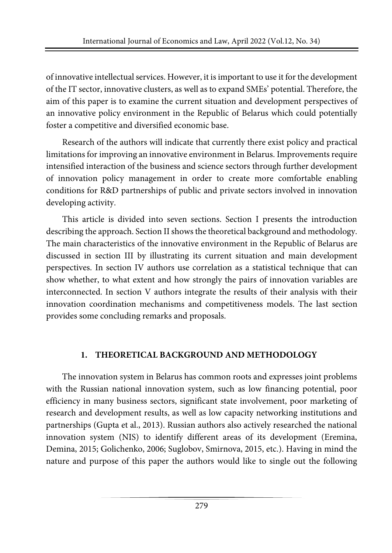of innovative intellectual services. However, it is important to use it for the development of the IT sector, innovative clusters, as well as to expand SMEs' potential. Therefore, the aim of this paper is to examine the current situation and development perspectives of an innovative policy environment in the Republic of Belarus which could potentially foster a competitive and diversified economic base.

Research of the authors will indicate that currently there exist policy and practical limitations for improving an innovative environment in Belarus. Improvements require intensified interaction of the business and science sectors through further development of innovation policy management in order to create more comfortable enabling conditions for R&D partnerships of public and private sectors involved in innovation developing activity.

This article is divided into seven sections. Section I presents the introduction describing the approach. Section II shows the theoretical background and methodology. The main characteristics of the innovative environment in the Republic of Belarus are discussed in section III by illustrating its current situation and main development perspectives. In section IV authors use correlation as a statistical technique that can show whether, to what extent and how strongly the pairs of innovation variables are interconnected. In section V authors integrate the results of their analysis with their innovation coordination mechanisms and competitiveness models. The last section provides some concluding remarks and proposals.

## **1. THEORETICAL BACKGROUND AND METHODOLOGY**

The innovation system in Belarus has common roots and expresses joint problems with the Russian national innovation system, such as low financing potential, poor efficiency in many business sectors, significant state involvement, poor marketing of research and development results, as well as low capacity networking institutions and partnerships (Gupta et al., 2013). Russian authors also actively researched the national innovation system (NIS) to identify different areas of its development (Eremina, Demina, 2015; Golichenko, 2006; Suglobov, Smirnova, 2015, etc.). Having in mind the nature and purpose of this paper the authors would like to single out the following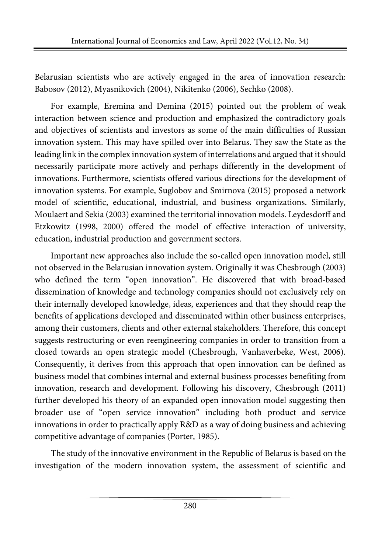Belarusian scientists who are actively engaged in the area of innovation research: Babosov (2012), Myasnikovich (2004), Nikitenko (2006), Sechko (2008).

For example, Eremina and Demina (2015) pointed out the problem of weak interaction between science and production and emphasized the contradictory goals and objectives of scientists and investors as some of the main difficulties of Russian innovation system. This may have spilled over into Belarus. They saw the State as the leading link in the complex innovation system of interrelations and argued that itshould necessarily participate more actively and perhaps differently in the development of innovations. Furthermore, scientists offered various directions for the development of innovation systems. For example, Suglobov and Smirnova (2015) proposed a network model of scientific, educational, industrial, and business organizations. Similarly, Moulaert and Sekia (2003) examined the territorial innovation models. Leydesdorff and Etzkowitz (1998, 2000) offered the model of effective interaction of university, education, industrial production and government sectors.

Important new approaches also include the so-called open innovation model, still not observed in the Belarusian innovation system. Originally it was Chesbrough (2003) who defined the term "open innovation". He discovered that with broad-based dissemination of knowledge and technology companies should not exclusively rely on their internally developed knowledge, ideas, experiences and that they should reap the benefits of applications developed and disseminated within other business enterprises, among their customers, clients and other external stakeholders. Therefore, this concept suggests restructuring or even reengineering companies in order to transition from a closed towards an open strategic model (Chesbrough, Vanhaverbeke, West, 2006). Consequently, it derives from this approach that open innovation can be defined as business model that combines internal and external business processes benefiting from innovation, research and development. Following his discovery, Chesbrough (2011) further developed his theory of an expanded open innovation model suggesting then broader use of "open service innovation" including both product and service innovations in order to practically apply R&D as a way of doing business and achieving competitive advantage of companies (Porter, 1985).

The study of the innovative environment in the Republic of Belarus is based on the investigation of the modern innovation system, the assessment of scientific and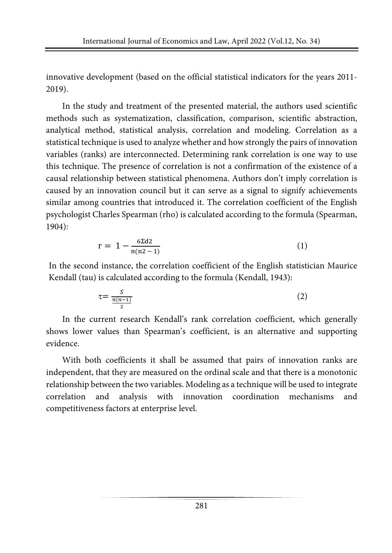innovative development (based on the official statistical indicators for the years 2011- 2019).

In the study and treatment of the presented material, the authors used scientific methods such as systematization, classification, comparison, scientific abstraction, analytical method, statistical analysis, correlation and modeling. Correlation as a statistical technique is used to analyze whether and how strongly the pairs of innovation variables (ranks) are interconnected. Determining rank correlation is one way to use this technique. The presence of correlation is not a confirmation of the existence of a causal relationship between statistical phenomena. Authors don't imply correlation is caused by an innovation council but it can serve as a signal to signify achievements similar among countries that introduced it. The correlation coefficient of the English psychologist Charles Spearman (rho) is calculated according to the formula (Spearman, 1904):

$$
r = 1 - \frac{6\Sigma d2}{n(n2 - 1)}
$$
 (1)

In the second instance, the correlation coefficient of the English statistician Maurice Kendall (tau) is calculated according to the formula (Kendall, 1943):

$$
\tau = \frac{S}{\frac{n(n-1)}{2}}\tag{2}
$$

In the current research Kendall's rank correlation coefficient, which generally shows lower values than Spearman's coefficient, is an alternative and supporting evidence.

With both coefficients it shall be assumed that pairs of innovation ranks are independent, that they are measured on the ordinal scale and that there is a monotonic relationship between the two variables. Modeling as a technique will be used to integrate correlation and analysis with innovation coordination mechanisms and competitiveness factors at enterprise level.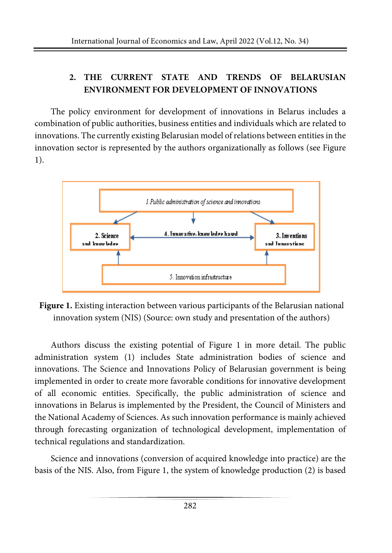## **2. THE CURRENT STATE AND TRENDS OF BELARUSIAN ENVIRONMENT FOR DEVELOPMENT OF INNOVATIONS**

The policy environment for development of innovations in Belarus includes a combination of public authorities, business entities and individuals which are related to innovations. The currently existing Belarusian model of relations between entities in the innovation sector is represented by the authors organizationally as follows (see Figure 1).



**Figure 1.** Existing interaction between various participants of the Belarusian national innovation system (NIS) (Source: own study and presentation of the authors)

Authors discuss the existing potential of Figure 1 in more detail. The public administration system (1) includes State administration bodies of science and innovations. The Science and Innovations Policy of Belarusian government is being implemented in order to create more favorable conditions for innovative development of all economic entities. Specifically, the public administration of science and innovations in Belarus is implemented by the President, the Council of Ministers and the National Academy of Sciences. As such innovation performance is mainly achieved through forecasting organization of technological development, implementation of technical regulations and standardization.

Science and innovations (conversion of acquired knowledge into practice) are the basis of the NIS. Also, from Figure 1, the system of knowledge production (2) is based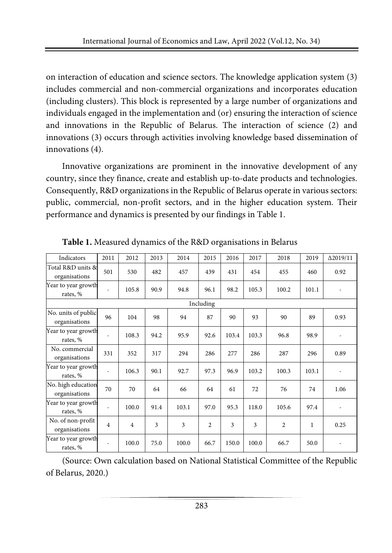on interaction of education and science sectors. The knowledge application system (3) includes commercial and non-commercial organizations and incorporates education (including clusters). This block is represented by a large number of organizations and individuals engaged in the implementation and (or) ensuring the interaction of science and innovations in the Republic of Belarus. The interaction of science (2) and innovations (3) occurs through activities involving knowledge based dissemination of innovations (4).

Innovative organizations are prominent in the innovative development of any country, since they finance, create and establish up-to-date products and technologies. Consequently, R&D organizations in the Republic of Belarus operate in various sectors: public, commercial, non-profit sectors, and in the higher education system. Their performance and dynamics is presented by our findings in Table 1.

| Indicators                           | 2011                     | 2012           | 2013 | 2014  | 2015           | 2016  | 2017  | 2018           | 2019  | $\Delta$ 2019/11 |
|--------------------------------------|--------------------------|----------------|------|-------|----------------|-------|-------|----------------|-------|------------------|
| Total R&D units &<br>organisations   | 501                      | 530            | 482  | 457   | 439            | 431   | 454   | 455            | 460   | 0.92             |
| Year to year growth<br>rates, %      | ٠                        | 105.8          | 90.9 | 94.8  | 96.1           | 98.2  | 105.3 | 100.2          | 101.1 |                  |
|                                      |                          |                |      |       | Including      |       |       |                |       |                  |
| No. units of public<br>organisations | 96                       | 104            | 98   | 94    | 87             | 90    | 93    | 90             | 89    | 0.93             |
| Year to year growth<br>rates, %      | ٠                        | 108.3          | 94.2 | 95.9  | 92.6           | 103.4 | 103.3 | 96.8           | 98.9  |                  |
| No. commercial<br>organisations      | 331                      | 352            | 317  | 294   | 286            | 277   | 286   | 287            | 296   | 0.89             |
| Year to year growth<br>rates, %      | ٠                        | 106.3          | 90.1 | 92.7  | 97.3           | 96.9  | 103.2 | 100.3          | 103.1 |                  |
| No. high education<br>organisations  | 70                       | 70             | 64   | 66    | 64             | 61    | 72    | 76             | 74    | 1.06             |
| Year to year growth<br>rates, %      |                          | 100.0          | 91.4 | 103.1 | 97.0           | 95.3  | 118.0 | 105.6          | 97.4  |                  |
| No. of non-profit<br>organisations   | $\overline{4}$           | $\overline{4}$ | 3    | 3     | $\overline{c}$ | 3     | 3     | $\overline{2}$ | 1     | 0.25             |
| Year to year growth<br>rates, %      | $\overline{\phantom{m}}$ | 100.0          | 75.0 | 100.0 | 66.7           | 150.0 | 100.0 | 66.7           | 50.0  |                  |

**Table 1.** Measured dynamics of the R&D organisations in Belarus

(Source: Own calculation based on National Statistical Committee of the Republic of Belarus, 2020.)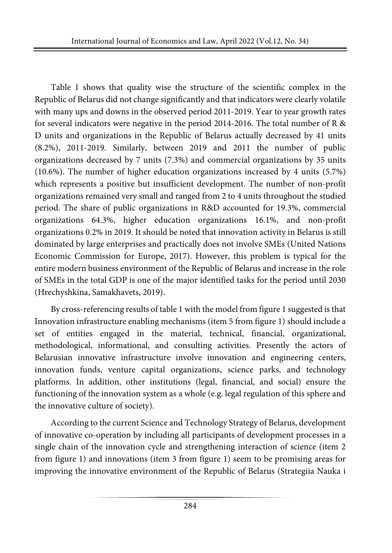Table 1 shows that quality wise the structure of the scientific complex in the Republic of Belarus did not change significantly and that indicators were clearly volatile with many ups and downs in the observed period 2011-2019. Year to year growth rates for several indicators were negative in the period 2014-2016. The total number of R & D units and organizations in the Republic of Belarus actually decreased by 41 units (8.2%), 2011-2019. Similarly, between 2019 and 2011 the number of public organizations decreased by 7 units (7.3%) and commercial organizations by 35 units (10.6%). The number of higher education organizations increased by 4 units (5.7%) which represents a positive but insufficient development. The number of non-profit organizations remained very small and ranged from 2 to 4 units throughout the studied period. The share of public organizations in R&D accounted for 19.3%, commercial organizations 64.3%, higher education organizations 16.1%, and non-profit organizations 0.2% in 2019. It should be noted that innovation activity in Belarus is still dominated by large enterprises and practically does not involve SMEs (United Nations Economic Commission for Europe, 2017). However, this problem is typical for the entire modern business environment of the Republic of Belarus and increase in the role of SMEs in the total GDP is one of the major identified tasks for the period until 2030 (Hrechyshkina, Samakhavets, 2019).

By cross-referencing results of table 1 with the model from figure 1 suggested is that Innovation infrastructure enabling mechanisms (item 5 from figure 1) should include a set of entities engaged in the material, technical, financial, organizational, methodological, informational, and consulting activities. Presently the actors of Belarusian innovative infrastructure involve innovation and engineering centers, innovation funds, venture capital organizations, science parks, and technology platforms. In addition, other institutions (legal, financial, and social) ensure the functioning of the innovation system as a whole (e.g. legal regulation of this sphere and the innovative culture of society).

According to the current Science and Technology Strategy of Belarus, development of innovative co-operation by including all participants of development processes in a single chain of the innovation cycle and strengthening interaction of science (item 2 from figure 1) and innovations (item 3 from figure 1) seem to be promising areas for improving the innovative environment of the Republic of Belarus (Strategiia Nauka i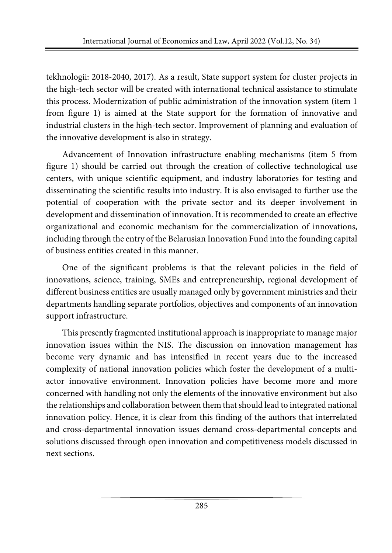tekhnologii: 2018-2040, 2017). As a result, State support system for cluster projects in the high-tech sector will be created with international technical assistance to stimulate this process. Modernization of public administration of the innovation system (item 1 from figure 1) is aimed at the State support for the formation of innovative and industrial clusters in the high-tech sector. Improvement of planning and evaluation of the innovative development is also in strategy.

Advancement of Innovation infrastructure enabling mechanisms (item 5 from figure 1) should be carried out through the creation of collective technological use centers, with unique scientific equipment, and industry laboratories for testing and disseminating the scientific results into industry. It is also envisaged to further use the potential of cooperation with the private sector and its deeper involvement in development and dissemination of innovation. It is recommended to create an effective organizational and economic mechanism for the commercialization of innovations, including through the entry of the Belarusian Innovation Fund into the founding capital of business entities created in this manner.

One of the significant problems is that the relevant policies in the field of innovations, science, training, SMEs and entrepreneurship, regional development of different business entities are usually managed only by government ministries and their departments handling separate portfolios, objectives and components of an innovation support infrastructure.

This presently fragmented institutional approach is inappropriate to manage major innovation issues within the NIS. The discussion on innovation management has become very dynamic and has intensified in recent years due to the increased complexity of national innovation policies which foster the development of a multiactor innovative environment. Innovation policies have become more and more concerned with handling not only the elements of the innovative environment but also the relationships and collaboration between them that should lead to integrated national innovation policy. Hence, it is clear from this finding of the authors that interrelated and cross-departmental innovation issues demand cross-departmental concepts and solutions discussed through open innovation and competitiveness models discussed in next sections.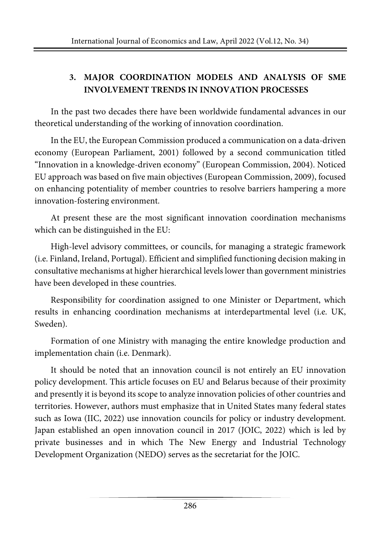## **3. MAJOR COORDINATION MODELS AND ANALYSIS OF SME INVOLVEMENT TRENDS IN INNOVATION PROCESSES**

In the past two decades there have been worldwide fundamental advances in our theoretical understanding of the working of innovation coordination.

In the EU, the European Commission produced a communication on a data-driven economy (European Parliament, 2001) followed by a second communication titled "Innovation in a knowledge-driven economy" (European Commission, 2004). Noticed EU approach was based on five main objectives (European Commission, 2009), focused on enhancing potentiality of member countries to resolve barriers hampering a more innovation-fostering environment.

At present these are the most significant innovation coordination mechanisms which can be distinguished in the EU:

High-level advisory committees, or councils, for managing a strategic framework (i.e. Finland, Ireland, Portugal). Efficient and simplified functioning decision making in consultative mechanisms at higher hierarchical levels lower than government ministries have been developed in these countries.

Responsibility for coordination assigned to one Minister or Department, which results in enhancing coordination mechanisms at interdepartmental level (i.e. UK, Sweden).

Formation of one Ministry with managing the entire knowledge production and implementation chain (i.e. Denmark).

It should be noted that an innovation council is not entirely an EU innovation policy development. This article focuses on EU and Belarus because of their proximity and presently it is beyond its scope to analyze innovation policies of other countries and territories. However, authors must emphasize that in United States many federal states such as Iowa (IIC, 2022) use innovation councils for policy or industry development. Japan established an open innovation council in 2017 (JOIC, 2022) which is led by private businesses and in which The New Energy and Industrial Technology Development Organization (NEDO) serves as the secretariat for the JOIC.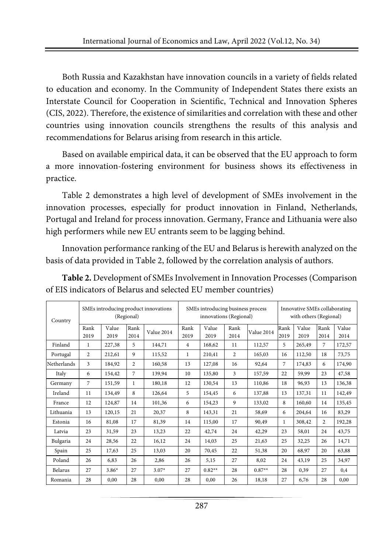Both Russia and Kazakhstan have innovation councils in a variety of fields related to education and economy. In the Community of Independent States there exists an Interstate Council for Cooperation in Scientific, Technical and Innovation Spheres (CIS, 2022). Therefore, the existence of similarities and correlation with these and other countries using innovation councils strengthens the results of this analysis and recommendations for Belarus arising from research in this article.

Based on available empirical data, it can be observed that the EU approach to form a more innovation-fostering environment for business shows its effectiveness in practice.

Table 2 demonstrates a high level of development of SMEs involvement in the innovation processes, especially for product innovation in Finland, Netherlands, Portugal and Ireland for process innovation. Germany, France and Lithuania were also high performers while new EU entrants seem to be lagging behind.

Innovation performance ranking of the EU and Belarus is herewith analyzed on the basis of data provided in Table 2, followed by the correlation analysis of authors.

| Country     | SMEs introducing product innovations<br>(Regional) |               |                |            | SMEs introducing business process<br>innovations (Regional) |               |                |            | Innovative SMEs collaborating<br>with others (Regional) |               |                |               |
|-------------|----------------------------------------------------|---------------|----------------|------------|-------------------------------------------------------------|---------------|----------------|------------|---------------------------------------------------------|---------------|----------------|---------------|
|             | Rank<br>2019                                       | Value<br>2019 | Rank<br>2014   | Value 2014 | Rank<br>2019                                                | Value<br>2019 | Rank<br>2014   | Value 2014 | Rank<br>2019                                            | Value<br>2019 | Rank<br>2014   | Value<br>2014 |
| Finland     | $\mathbf{1}$                                       | 227,38        | 5              | 144,71     | $\overline{4}$                                              | 168,62        | 11             | 112,57     | 5                                                       | 265,49        | 7              | 172,57        |
| Portugal    | $\overline{2}$                                     | 212,61        | 9              | 115,52     | $\mathbf{1}$                                                | 210,41        | $\overline{2}$ | 165,03     | 16                                                      | 112,50        | 18             | 73,75         |
| Netherlands | 3                                                  | 184,92        | $\overline{c}$ | 160,58     | 13                                                          | 127,08        | 16             | 92,64      | 7                                                       | 174,83        | 6              | 174,90        |
| Italy       | 6                                                  | 154,42        | $\overline{7}$ | 139,94     | 10                                                          | 135,80        | 3              | 157,59     | 22                                                      | 59,99         | 23             | 47,58         |
| Germany     | 7                                                  | 151,59        | 1              | 180,18     | 12                                                          | 130,54        | 13             | 110,86     | 18                                                      | 96,93         | 13             | 136,38        |
| Ireland     | 11                                                 | 134,49        | 8              | 126,64     | 5                                                           | 154,45        | 6              | 137,88     | 13                                                      | 137,31        | 11             | 142,49        |
| France      | 12                                                 | 124,87        | 14             | 101,36     | 6                                                           | 154,23        | 9              | 133,02     | 8                                                       | 160,60        | 14             | 135,45        |
| Lithuania   | 13                                                 | 120,15        | 21             | 20,37      | 8                                                           | 143,31        | 21             | 58,69      | 6                                                       | 204,64        | 16             | 83,29         |
| Estonia     | 16                                                 | 81,08         | 17             | 81,39      | 14                                                          | 115,00        | 17             | 90,49      | $\mathbf{1}$                                            | 308,42        | $\overline{2}$ | 192,28        |
| Latvia      | 23                                                 | 31,59         | 23             | 13.23      | 22                                                          | 42,74         | 24             | 42,29      | 23                                                      | 58,01         | 24             | 43,75         |
| Bulgaria    | 24                                                 | 28,56         | 22             | 16,12      | 24                                                          | 14,03         | 25             | 21,63      | 25                                                      | 32,25         | 26             | 14,71         |
| Spain       | 25                                                 | 17.63         | 25             | 13,03      | 20                                                          | 70.45         | 22             | 51,38      | 20                                                      | 68,97         | 20             | 63,88         |
| Poland      | 26                                                 | 6.83          | 26             | 2,86       | 26                                                          | 5,15          | 27             | 8,02       | 24                                                      | 43,19         | 25             | 34,97         |
| Belarus     | 27                                                 | $3.86*$       | 27             | $3.07*$    | 27                                                          | $0.82**$      | 28             | $0.87**$   | 28                                                      | 0,39          | 27             | 0,4           |
| Romania     | 28                                                 | 0.00          | 28             | 0,00       | 28                                                          | 0,00          | 26             | 18,18      | 27                                                      | 6,76          | 28             | 0,00          |

**Table 2.** Development of SMEs Involvement in Innovation Processes (Comparison of EIS indicators of Belarus and selected EU member countries)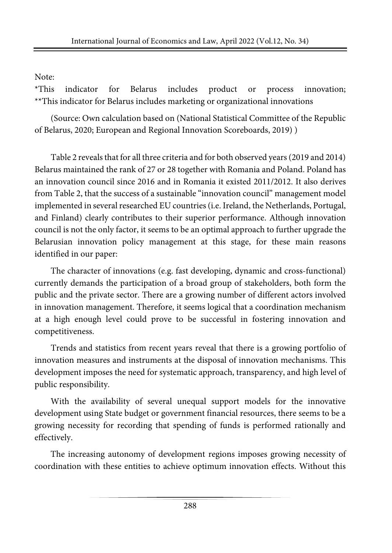## Note:

\*This indicator for Belarus includes product or process innovation; \*\*This indicator for Belarus includes marketing or organizational innovations

(Source: Own calculation based on (National Statistical Committee of the Republic of Belarus, 2020; European and Regional Innovation Scoreboards, 2019) )

Table 2 reveals that for all three criteria and for both observed years (2019 and 2014) Belarus maintained the rank of 27 or 28 together with Romania and Poland. Poland has an innovation council since 2016 and in Romania it existed 2011/2012. It also derives from Table 2, that the success of a sustainable "innovation council" management model implemented in several researched EU countries (i.e. Ireland, the Netherlands, Portugal, and Finland) clearly contributes to their superior performance. Although innovation council is not the only factor, it seems to be an optimal approach to further upgrade the Belarusian innovation policy management at this stage, for these main reasons identified in our paper:

The character of innovations (e.g. fast developing, dynamic and cross-functional) currently demands the participation of a broad group of stakeholders, both form the public and the private sector. There are a growing number of different actors involved in innovation management. Therefore, it seems logical that a coordination mechanism at a high enough level could prove to be successful in fostering innovation and competitiveness.

Trends and statistics from recent years reveal that there is a growing portfolio of innovation measures and instruments at the disposal of innovation mechanisms. This development imposes the need for systematic approach, transparency, and high level of public responsibility.

With the availability of several unequal support models for the innovative development using State budget or government financial resources, there seems to be a growing necessity for recording that spending of funds is performed rationally and effectively.

The increasing autonomy of development regions imposes growing necessity of coordination with these entities to achieve optimum innovation effects. Without this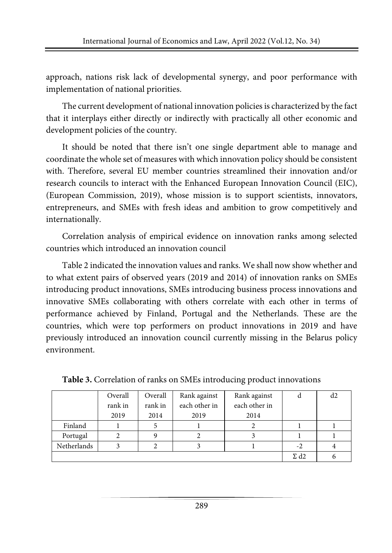approach, nations risk lack of developmental synergy, and poor performance with implementation of national priorities.

The current development of national innovation policies is characterized by the fact that it interplays either directly or indirectly with practically all other economic and development policies of the country.

It should be noted that there isn't one single department able to manage and coordinate the whole set of measures with which innovation policy should be consistent with. Therefore, several EU member countries streamlined their innovation and/or research councils to interact with the Enhanced European Innovation Council (EIC), (European Commission, 2019), whose mission is to support scientists, innovators, entrepreneurs, and SMEs with fresh ideas and ambition to grow competitively and internationally.

Correlation analysis of empirical evidence on innovation ranks among selected countries which introduced an innovation council

Table 2 indicated the innovation values and ranks. We shall now show whether and to what extent pairs of observed years (2019 and 2014) of innovation ranks on SMEs introducing product innovations, SMEs introducing business process innovations and innovative SMEs collaborating with others correlate with each other in terms of performance achieved by Finland, Portugal and the Netherlands. These are the countries, which were top performers on product innovations in 2019 and have previously introduced an innovation council currently missing in the Belarus policy environment.

|             | Overall | Overall | Rank against  | Rank against  | a                       | d2 |
|-------------|---------|---------|---------------|---------------|-------------------------|----|
|             | rank in | rank in | each other in | each other in |                         |    |
|             | 2019    | 2014    | 2019          | 2014          |                         |    |
| Finland     |         |         |               |               |                         |    |
| Portugal    |         |         |               |               |                         |    |
| Netherlands |         |         |               |               | $-2$                    |    |
|             |         |         |               |               | $\Sigma$ d <sub>2</sub> |    |

**Table 3.** Correlation of ranks on SMEs introducing product innovations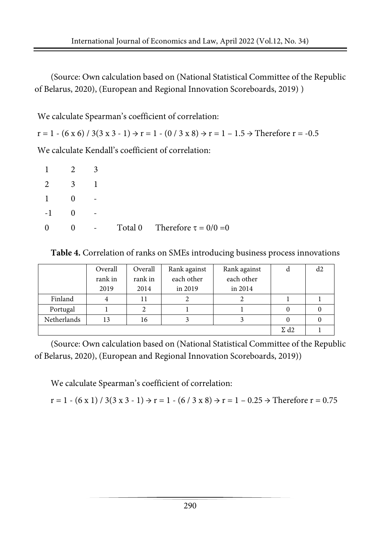(Source: Own calculation based on (National Statistical Committee of the Republic of Belarus, 2020), (European and Regional Innovation Scoreboards, 2019) )

We calculate Spearman's coefficient of correlation:

 $r = 1 - (6 \times 6) / 3(3 \times 3 - 1) \rightarrow r = 1 - (0 / 3 \times 8) \rightarrow r = 1 - 1.5 \rightarrow$  Therefore  $r = -0.5$ We calculate Kendall's coefficient of correlation:

| $\mathbf{1}$ | $\overline{2}$ |                |                                    |
|--------------|----------------|----------------|------------------------------------|
| $\mathbf{2}$ | $\mathcal{R}$  |                |                                    |
| 1            | 0              |                |                                    |
| $-1$         | $\Omega$       |                |                                    |
| $\theta$     | 0              | $\overline{a}$ | Total 0 Therefore $\tau = 0/0 = 0$ |

**Table 4.** Correlation of ranks on SMEs introducing business process innovations

|             | Overall                 | Overall | Rank against | Rank against | a |  |
|-------------|-------------------------|---------|--------------|--------------|---|--|
|             | rank in                 | rank in | each other   | each other   |   |  |
|             | 2019                    | 2014    | in 2019      | in 2014      |   |  |
| Finland     |                         | 11      |              |              |   |  |
| Portugal    |                         |         |              |              |   |  |
| Netherlands | 13                      | 16      |              |              |   |  |
|             | $\Sigma$ d <sub>2</sub> |         |              |              |   |  |

(Source: Own calculation based on (National Statistical Committee of the Republic of Belarus, 2020), (European and Regional Innovation Scoreboards, 2019))

We calculate Spearman's coefficient of correlation:

 $r = 1 - (6 \times 1) / 3(3 \times 3 - 1) \rightarrow r = 1 - (6 / 3 \times 8) \rightarrow r = 1 - 0.25 \rightarrow$  Therefore  $r = 0.75$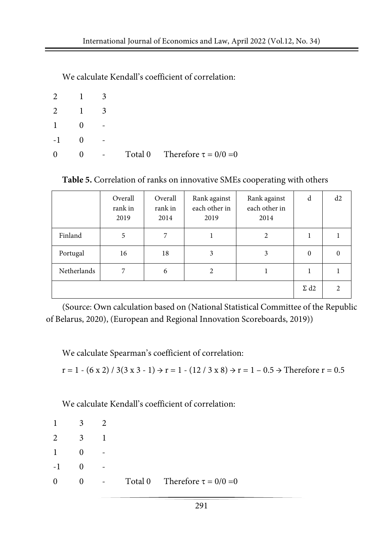We calculate Kendall's coefficient of correlation:

| 2            | $\blacksquare$ |   |                                    |
|--------------|----------------|---|------------------------------------|
| 2            | $\blacksquare$ | 3 |                                    |
| $\mathbf{1}$ |                |   |                                    |
| $-1$         |                |   |                                    |
| $\theta$     |                |   | Total 0 Therefore $\tau = 0/0 = 0$ |

**Table 5.** Correlation of ranks on innovative SMEs cooperating with others

|             | Overall<br>rank in<br>2019 | Overall<br>rank in<br>2014 | Rank against<br>each other in<br>2019 | Rank against<br>each other in<br>2014 | d                       | d2                          |
|-------------|----------------------------|----------------------------|---------------------------------------|---------------------------------------|-------------------------|-----------------------------|
| Finland     | 5                          | 7                          |                                       | $\overline{c}$                        |                         |                             |
| Portugal    | 16                         | 18                         | 3                                     | 3                                     | $\mathbf{0}$            |                             |
| Netherlands | 7                          | 6                          | 2                                     |                                       |                         |                             |
|             |                            |                            |                                       |                                       | $\Sigma$ d <sub>2</sub> | $\mathcal{D}_{\mathcal{A}}$ |

(Source: Own calculation based on (National Statistical Committee of the Republic of Belarus, 2020), (European and Regional Innovation Scoreboards, 2019))

We calculate Spearman's coefficient of correlation:

 $r = 1 - (6 \times 2) / 3(3 \times 3 - 1) \rightarrow r = 1 - (12 / 3 \times 8) \rightarrow r = 1 - 0.5 \rightarrow$  Therefore  $r = 0.5$ 

We calculate Kendall's coefficient of correlation:

| -1       | 3 |   |                                    |
|----------|---|---|------------------------------------|
| 2        | 3 |   |                                    |
| -1       |   |   |                                    |
| $-1$     |   | - |                                    |
| $\Omega$ | 0 |   | Total 0 Therefore $\tau = 0/0 = 0$ |
|          |   |   |                                    |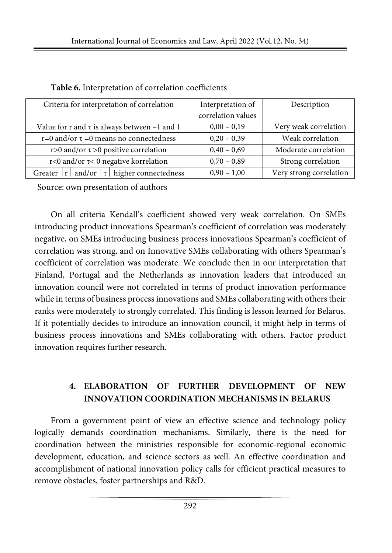| Criteria for interpretation of correlation         | Interpretation of  | Description             |
|----------------------------------------------------|--------------------|-------------------------|
|                                                    | correlation values |                         |
| Value for r and $\tau$ is always between -1 and 1  | $0,00 - 0,19$      | Very weak correlation   |
| r=0 and/or $\tau$ =0 means no connectedness        | $0,20 - 0,39$      | Weak correlation        |
| r>0 and/or $\tau$ >0 positive correlation          | $0,40 - 0,69$      | Moderate correlation    |
| r<0 and/or $\tau$ <0 negative korrelation          | $0,70 - 0,89$      | Strong correlation      |
| Greater $ r $ and/or $ \tau $ higher connectedness | $0,90 - 1,00$      | Very strong correlation |

| Table 6. Interpretation of correlation coefficients |  |  |  |
|-----------------------------------------------------|--|--|--|
|-----------------------------------------------------|--|--|--|

Source: own presentation of authors

On all criteria Kendall's coefficient showed very weak correlation. On SMEs introducing product innovations Spearman's coefficient of correlation was moderately negative, on SMEs introducing business process innovations Spearman's coefficient of correlation was strong, and on Innovative SMEs collaborating with others Spearman's coefficient of correlation was moderate. We conclude then in our interpretation that Finland, Portugal and the Netherlands as innovation leaders that introduced an innovation council were not correlated in terms of product innovation performance while in terms of business process innovations and SMEs collaborating with others their ranks were moderately to strongly correlated. This finding is lesson learned for Belarus. If it potentially decides to introduce an innovation council, it might help in terms of business process innovations and SMEs collaborating with others. Factor product innovation requires further research.

## **4. ELABORATION OF FURTHER DEVELOPMENT OF NEW INNOVATION COORDINATION MECHANISMS IN BELARUS**

From a government point of view an effective science and technology policy logically demands coordination mechanisms. Similarly, there is the need for coordination between the ministries responsible for economic-regional economic development, education, and science sectors as well. An effective coordination and accomplishment of national innovation policy calls for efficient practical measures to remove obstacles, foster partnerships and R&D.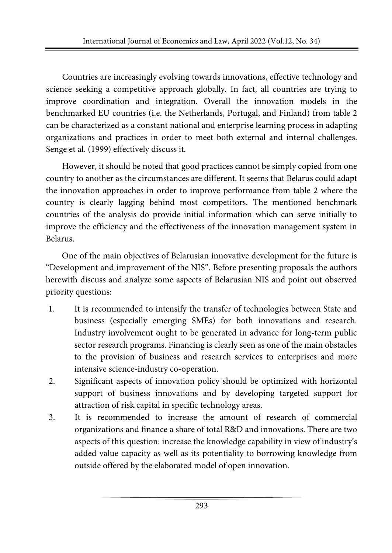Countries are increasingly evolving towards innovations, effective technology and science seeking a competitive approach globally. In fact, all countries are trying to improve coordination and integration. Overall the innovation models in the benchmarked EU countries (i.e. the Netherlands, Portugal, and Finland) from table 2 can be characterized as a constant national and enterprise learning process in adapting organizations and practices in order to meet both external and internal challenges. Senge et al. (1999) effectively discuss it.

However, it should be noted that good practices cannot be simply copied from one country to another as the circumstances are different. It seems that Belarus could adapt the innovation approaches in order to improve performance from table 2 where the country is clearly lagging behind most competitors. The mentioned benchmark countries of the analysis do provide initial information which can serve initially to improve the efficiency and the effectiveness of the innovation management system in Belarus.

One of the main objectives of Belarusian innovative development for the future is "Development and improvement of the NIS". Before presenting proposals the authors herewith discuss and analyze some aspects of Belarusian NIS and point out observed priority questions:

- 1. It is recommended to intensify the transfer of technologies between State and business (especially emerging SMEs) for both innovations and research. Industry involvement ought to be generated in advance for long-term public sector research programs. Financing is clearly seen as one of the main obstacles to the provision of business and research services to enterprises and more intensive science-industry co-operation.
- 2. Significant aspects of innovation policy should be optimized with horizontal support of business innovations and by developing targeted support for attraction of risk capital in specific technology areas.
- 3. It is recommended to increase the amount of research of commercial organizations and finance a share of total R&D and innovations. There are two aspects of this question: increase the knowledge capability in view of industry's added value capacity as well as its potentiality to borrowing knowledge from outside offered by the elaborated model of open innovation.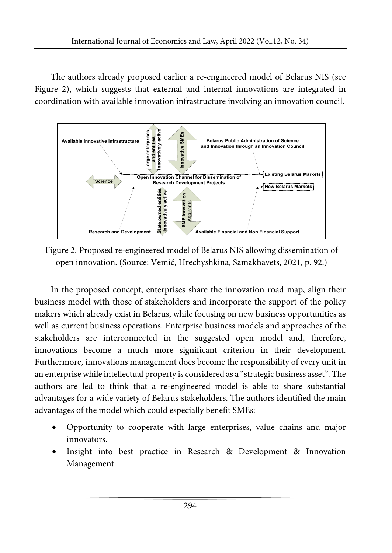The authors already proposed earlier a re-engineered model of Belarus NIS (see Figure 2), which suggests that external and internal innovations are integrated in coordination with available innovation infrastructure involving an innovation council.



Figure 2. Proposed re-engineered model of Belarus NIS allowing dissemination of open innovation. (Source: Vemić, Hrechyshkina, Samakhavets, 2021, p. 92.)

In the proposed concept, enterprises share the innovation road map, align their business model with those of stakeholders and incorporate the support of the policy makers which already exist in Belarus, while focusing on new business opportunities as well as current business operations. Enterprise business models and approaches of the stakeholders are interconnected in the suggested open model and, therefore, innovations become a much more significant criterion in their development. Furthermore, innovations management does become the responsibility of every unit in an enterprise while intellectual property is considered as a "strategic business asset". The authors are led to think that a re-engineered model is able to share substantial advantages for a wide variety of Belarus stakeholders. The authors identified the main advantages of the model which could especially benefit SMEs:

- Opportunity to cooperate with large enterprises, value chains and major innovators.
- Insight into best practice in Research & Development & Innovation Management.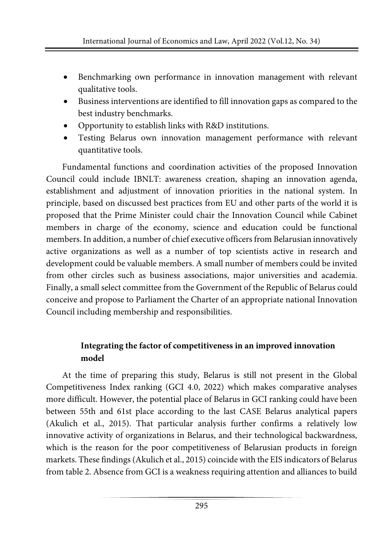- Benchmarking own performance in innovation management with relevant qualitative tools.
- Business interventions are identified to fill innovation gaps as compared to the best industry benchmarks.
- Opportunity to establish links with R&D institutions.
- Testing Belarus own innovation management performance with relevant quantitative tools.

Fundamental functions and coordination activities of the proposed Innovation Council could include IBNLT: awareness creation, shaping an innovation agenda, establishment and adjustment of innovation priorities in the national system. In principle, based on discussed best practices from EU and other parts of the world it is proposed that the Prime Minister could chair the Innovation Council while Cabinet members in charge of the economy, science and education could be functional members. In addition, a number of chief executive officers from Belarusian innovatively active organizations as well as a number of top scientists active in research and development could be valuable members. A small number of members could be invited from other circles such as business associations, major universities and academia. Finally, a small select committee from the Government of the Republic of Belarus could conceive and propose to Parliament the Charter of an appropriate national Innovation Council including membership and responsibilities.

## **Integrating the factor of competitiveness in an improved innovation model**

At the time of preparing this study, Belarus is still not present in the Global Competitiveness Index ranking (GCI 4.0, 2022) which makes comparative analyses more difficult. However, the potential place of Belarus in GCI ranking could have been between 55th and 61st place according to the last CASE Belarus analytical papers (Akulich et al., 2015). That particular analysis further confirms a relatively low innovative activity of organizations in Belarus, and their technological backwardness, which is the reason for the poor competitiveness of Belarusian products in foreign markets. These findings (Akulich et al., 2015) coincide with the EIS indicators of Belarus from table 2. Absence from GCI is a weakness requiring attention and alliances to build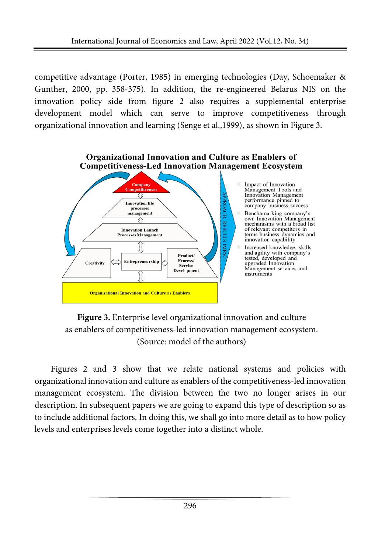competitive advantage (Porter, 1985) in emerging technologies (Day, Schoemaker & Gunther, 2000, pp. 358-375). In addition, the re-engineered Belarus NIS on the innovation policy side from figure 2 also requires a supplemental enterprise development model which can serve to improve competitiveness through organizational innovation and learning (Senge et al.,1999), as shown in Figure 3.



**Figure 3.** Enterprise level organizational innovation and culture as enablers of competitiveness-led innovation management ecosystem. (Source: model of the authors)

Figures 2 and 3 show that we relate national systems and policies with organizational innovation and culture as enablers of the competitiveness-led innovation management ecosystem. The division between the two no longer arises in our description. In subsequent papers we are going to expand this type of description so as to include additional factors. In doing this, we shall go into more detail as to how policy levels and enterprises levels come together into a distinct whole.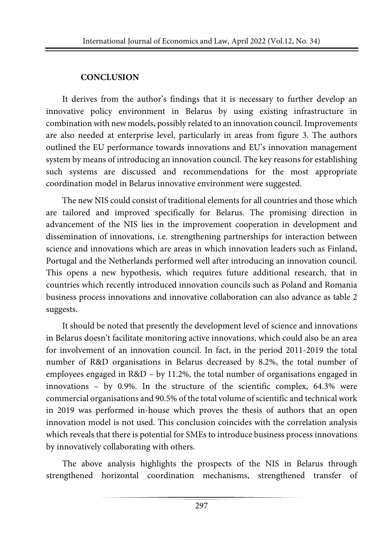## **CONCLUSION**

It derives from the author's findings that it is necessary to further develop an innovative policy environment in Belarus by using existing infrastructure in combination with new models, possibly related to an innovation council. Improvements are also needed at enterprise level, particularly in areas from figure 3. The authors outlined the EU performance towards innovations and EU's innovation management system by means of introducing an innovation council. The key reasons for establishing such systems are discussed and recommendations for the most appropriate coordination model in Belarus innovative environment were suggested.

The new NIS could consist of traditional elements for all countries and those which are tailored and improved specifically for Belarus. The promising direction in advancement of the NIS lies in the improvement cooperation in development and dissemination of innovations, i.e. strengthening partnerships for interaction between science and innovations which are areas in which innovation leaders such as Finland, Portugal and the Netherlands performed well after introducing an innovation council. This opens a new hypothesis, which requires future additional research, that in countries which recently introduced innovation councils such as Poland and Romania business process innovations and innovative collaboration can also advance as table 2 suggests.

It should be noted that presently the development level of science and innovations in Belarus doesn't facilitate monitoring active innovations, which could also be an area for involvement of an innovation council. In fact, in the period 2011-2019 the total number of R&D organisations in Belarus decreased by 8.2%, the total number of employees engaged in R&D – by 11.2%, the total number of organisations engaged in innovations – by 0.9%. In the structure of the scientific complex, 64.3% were commercial organisations and 90.5% of the total volume of scientific and technical work in 2019 was performed in-house which proves the thesis of authors that an open innovation model is not used. This conclusion coincides with the correlation analysis which reveals that there is potential for SMEs to introduce business process innovations by innovatively collaborating with others.

The above analysis highlights the prospects of the NIS in Belarus through strengthened horizontal coordination mechanisms, strengthened transfer of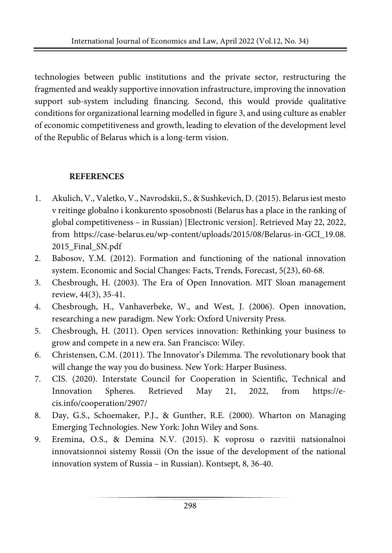technologies between public institutions and the private sector, restructuring the fragmented and weakly supportive innovation infrastructure, improving the innovation support sub-system including financing. Second, this would provide qualitative conditions for organizational learning modelled in figure 3, and using culture as enabler of economic competitiveness and growth, leading to elevation of the development level of the Republic of Belarus which is a long-term vision.

## **REFERENCES**

- 1. Akulich, V., Valetko, V., Navrodskii, S., & Sushkevich, D. (2015). Belarusiest mesto v reitinge globalno i konkurento sposobnosti (Belarus has a place in the ranking of global competitiveness – in Russian) [Electronic version]. Retrieved May 22, 2022, from [https://case-belarus.eu/wp-content/uploads/2015/08/Belarus-in-GCI\\_19.08.](https://case-belarus.eu/wp-content/uploads/2015/08/Belarus-in-GCI_19.08.2015_Final_SN.pdf) 2015 Final SN.pdf
- 2. Babosov, Y.M. (2012). Formation and functioning of the national innovation system. Economic and Social Changes: Facts, Trends, Forecast, 5(23), 60-68.
- 3. Chesbrough, H. (2003). The Era of Open Innovation. MIT Sloan management review, 44(3), 35-41.
- 4. Chesbrough, H., Vanhaverbeke, W., and West, J. (2006). Open innovation, researching a new paradigm. New York: Oxford University Press.
- 5. Chesbrough, H. (2011). Open services innovation: Rethinking your business to grow and compete in a new era. San Francisco: Wiley.
- 6. Christensen, C.M. (2011). The Innovator's Dilemma. The revolutionary book that will change the way you do business. New York: Harper Business.
- 7. CIS. (2020). Interstate Council for Cooperation in Scientific, Technical and Innovation Spheres. Retrieved May 21, 2022, from [https://e](https://e-cis.info/cooperation/2907/)[cis.info/cooperation/2907/](https://e-cis.info/cooperation/2907/)
- 8. Day, G.S., Schoemaker, P.J., & Gunther, R.E. (2000). Wharton on Managing Emerging Technologies. New York: John Wiley and Sons.
- 9. Eremina, O.S., & Demina N.V. (2015). K voprosu o razvitii natsionalnoi innovatsionnoi sistemy Rossii (On the issue of the development of the national innovation system of Russia – in Russian). Kontsept, 8, 36-40.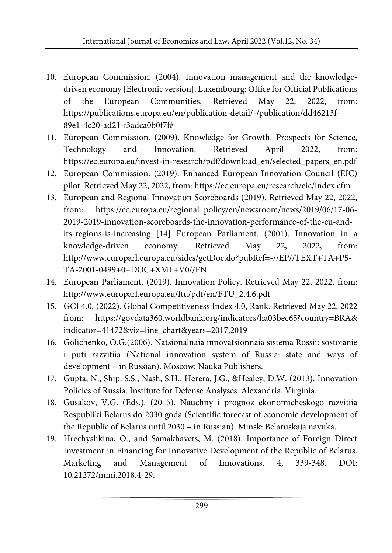- 10. European Commission. (2004). Innovation management and the knowledgedriven economy [Electronic version]. Luxembourg: Office for Official Publications of the European Communities. Retrieved May 22, 2022, from: [https://publications.europa.eu/en/publication-detail/-/publication/dd46213f-](https://publications.europa.eu/en/publication-detail/-/publication/dd46213f-89e1-4c20-ad21-f3adca0b0f7f)[89e1-4c20-ad21-f3adca0b0f7f#](https://publications.europa.eu/en/publication-detail/-/publication/dd46213f-89e1-4c20-ad21-f3adca0b0f7f)
- 11. European Commission. (2009). Knowledge for Growth. Prospects for Science, Technology and Innovation. Retrieved April 2022, from: https://ec.europa.eu/invest-in-research/pdf/download\_en/selected\_papers\_en.pdf
- 12. European Commission. (2019). Enhanced European Innovation Council (EIC) pilot. Retrieved May 22, 2022, from: <https://ec.europa.eu/research/eic/index.cfm>
- 13. European and Regional Innovation Scoreboards (2019). Retrieved May 22, 2022, from: [https://e](https://interactivetool.eu/EIS/EIS_2.html)c.europa.eu/regional\_policy/en/newsroom/news/2019/06/17-06- 2019-2019-innovation-scoreboards-the-innovation-performance-of-the-eu-andits-regions-is-increasing [14] European Parliament. (2001). Innovation in a knowledge-driven economy. Retrieved May 22, 2022, from: [http://www.europarl.europa.eu/sides/getDoc.do?pubRef=-//EP//TEXT+TA+P5-](http://www.europarl.europa.eu/sides/getDoc.do?pubRef=-//EP//TEXT+TA+P5-TA-2001-0499+0+DOC+XML+V0//EN) [TA-2001-0499+0+DOC+XML+V0//EN](http://www.europarl.europa.eu/sides/getDoc.do?pubRef=-//EP//TEXT+TA+P5-TA-2001-0499+0+DOC+XML+V0//EN)
- 14. European Parliament. (2019). Innovation Policy. Retrieved May 22, 2022, from: [http://www.europarl.europa.eu/ftu/pdf/en/FTU\\_2.4.6.pdf](http://www.europarl.europa.eu/ftu/pdf/en/FTU_2.4.6.pdf)
- 15. GCI 4.0, (2022). Global Competitiveness Index 4.0, Rank. Retrieved May 22, 2022 from: https://govdata360.worldbank.org/indicators/ha03bec65?country=BRA& indicator=41472&viz=line\_chart&years=2017,2019
- 16. Golichenko, O.G.(2006). Natsionalnaia innovatsionnaia sistema Rossii: sostoianie i puti razvitiia (National innovation system of Russia: state and ways of development – in Russian). Moscow: Nauka Publishers.
- 17. Gupta, N., Ship. S.S., Nash, S.H., Herera, J.G., &Healey, D.W. (2013). Innovation Policies of Russia. Institute for Defense Analyses. Alexandria. Virginia.
- 18. Gusakov, V.G. (Eds.). (2015). Nauchny i prognoz ekonomicheskogo razvitiia Respubliki Belarus do 2030 goda (Scientific forecast of economic development of the Republic of Belarus until 2030 – in Russian). Minsk: Belaruskaja navuka.
- 19. Hrechyshkina, O., and Samakhavets, M. (2018). Importance of Foreign Direct Investment in Financing for Innovative Development of the Republic of Belarus. Marketing and Management of Innovations, 4, 339-348. DOI: 10.21272/mmi.2018.4-29.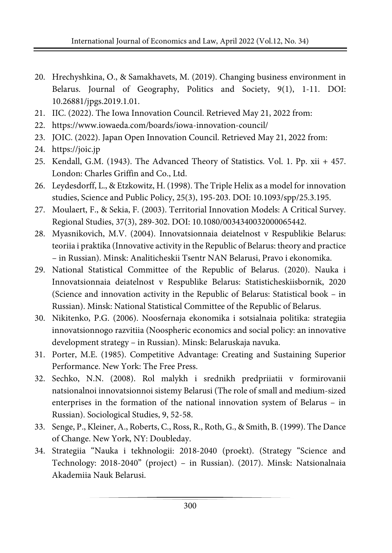- 20. Hrechyshkina, O., & Samakhavets, M. (2019). Changing business environment in Belarus. Journal of Geography, Politics and Society, 9(1), 1-11. DOI: 10.26881/jpgs.2019.1.01.
- 21. IIC. (2022). The Iowa Innovation Council. Retrieved May 21, 2022 from:
- 22. <https://www.iowaeda.com/boards/iowa-innovation-council/>
- 23. JOIC. (2022). Japan Open Innovation Council. Retrieved May 21, 2022 from:
- 24. [https://joic.jp](https://joic.jp/)
- 25. Kendall, G.M. (1943). The Advanced Theory of Statistics. Vol. 1. Pp. xii + 457. London: Charles Griffin and Co., Ltd.
- 26. Leydesdorff, L., & Etzkowitz, H. (1998). The Triple Helix as a model for innovation studies, Science and Public Policy, 25(3), 195-203. DOI: 10.1093/spp/25.3.195.
- 27. Moulaert, F., & Sekia, F. (2003). Territorial Innovation Models: A Critical Survey. Regional Studies, 37(3), 289-302. DOI: 10.1080/0034340032000065442.
- 28. Myasnikovich, M.V. (2004). Innovatsionnaia deiatelnost v Respublikie Belarus: teoriia i praktika (Innovative activity in the Republic of Belarus: theory and practice – in Russian). Minsk: Analiticheskii Tsentr NAN Belarusi, Pravo i ekonomika.
- 29. National Statistical Committee of the Republic of Belarus. (2020). Nauka i Innovatsionnaia deiatelnost v Respublike Belarus: Statisticheskiisbornik, 2020 (Science and innovation activity in the Republic of Belarus: Statistical book – in Russian). Minsk: National Statistical Committee of the Republic of Belarus.
- 30. Nikitenko, P.G. (2006). Noosfernaja ekonomika i sotsialnaia politika: strategiia innovatsionnogo razvitiia (Noospheric economics and social policy: an innovative development strategy – in Russian). Minsk: Belaruskaja navuka.
- 31. Porter, M.E. (1985). Competitive Advantage: Creating and Sustaining Superior Performance. New York: The Free Press.
- 32. Sechko, N.N. (2008). Rol malykh i srednikh predpriiatii v formirovanii natsionalnoi innovatsionnoi sistemy Belarusi (The role of small and medium-sized enterprises in the formation of the national innovation system of Belarus – in Russian). Sociological Studies, 9, 52-58.
- 33. Senge, P., Kleiner, A., Roberts, C., Ross, R., Roth, G., & Smith, B. (1999). The Dance of Change. New York, NY: Doubleday.
- 34. Strategiia "Nauka i tekhnologii: 2018-2040 (proekt). (Strategy "Science and Technology: 2018-2040" (project) – in Russian). (2017). Minsk: Natsionalnaia Akademiia Nauk Belarusi.